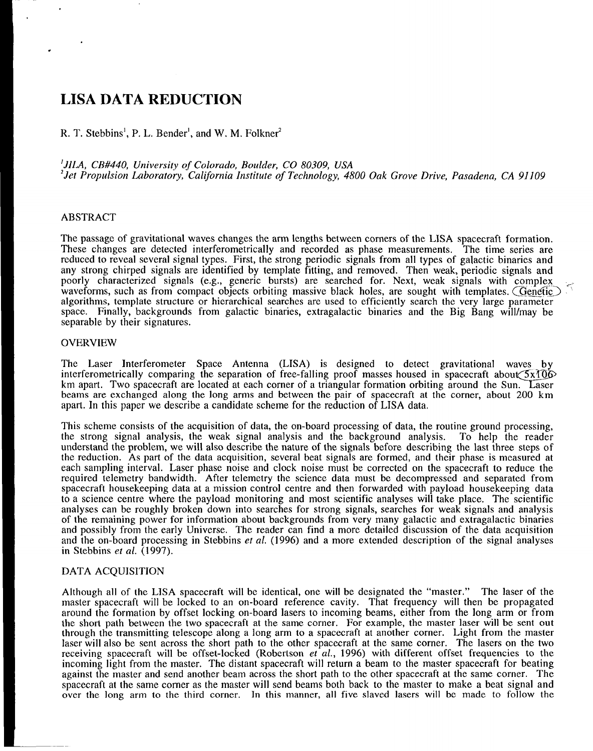# **LISA DATA REDUCTION**

R. T. Stebbins<sup>1</sup>, P. L. Bender<sup>1</sup>, and W. M. Folkner<sup>2</sup>

*'JILA, CB#440, University of Colorado, Boulder, CO 80309, USA* <sup>2</sup> Jet Propulsion Laboratory, California Institute of Technology, 4800 Oak Grove Drive, Pasadena, CA 91109

## ABSTRACT

.

The passage of gravitational waves changes the arm lengths between corners of the LISA spacecraft formation, These changes are detected interferometrically and recorded as phase measurements. The time series are reduced to reveal several signal types. First, the strong periodic signals from all types of galactic binaries and any strong chirped signals are identified by template fitting, and removed. Then weak, periodic signals and poorly characterized signals (e.g., generic bursts) are searched for. Next, weak signals with complex waveforms, such as from compact objects orbiting massive black holes, are sought with templates. (Genetic) algorithms, template structure or hierarchical searches are used to efficiently search the very large parameter space. Finally, backgrounds from galactic binaries, extragalactic binaries and the Big Bang will/may be separable by their signatures.

## OVERVIEW

The Laser Interferometer Space Antenna (LISA) is designed to detect gravitational waves by interferometrically comparing the separation of free-falling proof masses housed in spacecraft about  $\sqrt{3x}\sqrt{0}$ km apart. Two spacecraft are located at each corner of a triangular formation orbiting around the Sun. Laser beams are exchanged along the long arms and between the pair of spacecraft at the corner, about 200 km apart, In this paper we describe a candidate scheme for the reduction of LISA data.

This scheme consists of the acquisition of data, the on-board processing of data, the routine ground processing, the strong signal analysis, the weak signal analysis and the background analysis. To help the reader understand the problem, we will also describe the nature of the signals before describing the last three steps of the reduction. As part of the data acquisition, several beat signals are formed, and their phase is measured at each sampling interval. Laser phase noise and clock noise must be corrected on the spacecraft to reduce the required telemetry bandwidth. After telemetry the science data must be decompressed and separated from spacecraft housekeeping data at a mission control centre and then forwarded with payload housekeeping data to a science centre where the payload monitoring and most scientific analyses will take place. The scientific analyses can be roughly broken down into searches for strong signals, searches for weak signals and analysis of the remaining power for information about backgrounds from very many galactic and extragalactic binaries and possibly from the early Universe, The reader can find a more detailed discussion of the data acquisition and the on-board processing in Stebbins *et al. (1996)* and a more extended description of the signal analyses in Stebbins et *al.* (1997).

## DATA ACQUISITION

Although all of the LISA spacecraft will be identical, one will be designated the "master." The laser of the master spacecraft will be locked to an on-board reference cavity. That frequency will then be propagated around the formation by offset locking on-board lasers to incoming beams, either from the long arm or from the short path between the two spacecraft at the same corner. For example, the master laser will be sent out through the transmitting telescope along a long arm to a spacecraft at another corner. Light from the master laser will also be sent across the short path to the other spacecraft at the same corner. The lasers on the two receiving spacecraft will be offset-locked (Robertson *et al.,* 1996) with different offset frequencies to the incoming light from the master. The distant spacecraft will return a beam to the master spacecraft for beating against the master and send another beam across the short path to the other spacecraft at the same corner. The spacecraft at the same corner as the master will send beams both back to the master to make a beat signal and over the long arm to the third corner. In this manner, all five slaved lasers will be made to follow the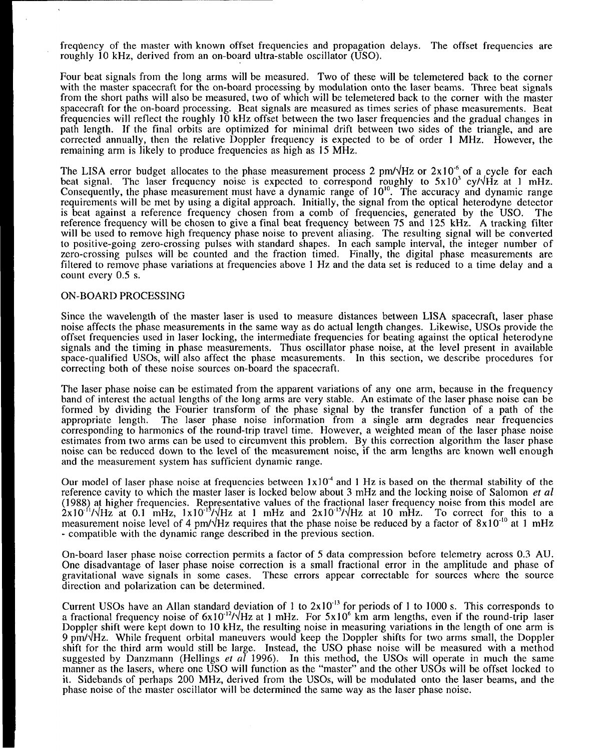frequency of the master with known offset frequencies and propagation delays. The offset frequencies are roughly 10 kHz, derived from an on-board ultra-stable oscillator (USO).

Four beat signals from the long arms will be measured. Two of these will be telemetered back to the corner with the master spacecraft for the on-board processing by modulation onto the laser beams. Three beat signals from the short paths will also be measured, two of which will be telemetered back to the corner with the master spacecraft for the on-board processing. Beat signals are measured as times series of phase measurements. Beat frequencies will reflect the roughly 10 kHz offset between the two laser frequencies and the gradual changes in path length. If the final orbits are optimized for minimal drift between two sides of the triangle, and are corrected annually, then the relative Doppler frequency is expected to be of order 1 MHz. However, the remaining arm is likely to produce frequencies as high as 15 MHz,

The LISA error budget allocates to the phase measurement process 2 pm/ $\sqrt{Hz}$  or  $2x10^{-6}$  of a cycle for each beat signal. The laser frequency noise is expected to correspond roughly to  $5x10^3$  cy/ $\sqrt{Hz}$  at 1 mHz. Consequently, the phase measurement must have a dynamic range of  $10^{10}$ . The accuracy and dynamic range requirements will be met by using a digital approach. Initially, the signal from the optical heterodyne detector is beat against a reference frequency chosen from a comb of frequencies, generated by the USO. The reference frequency will be chosen to give a final beat frequency between 75 and 125 kHz. A tracking filter will be used to remove high frequency phase noise to prevent aliasing. The resulting signal will be converted to positive-going zero-crossing pulses with standard shapes, In each sample interval, the integer number of zero-crossing pulses will be counted and the fraction timed. Finally, the digital phase measurements are filtered to remove phase variations at frequencies above 1 Hz and the data set is reduced to a time delay and a count every 0.5 s.

## ON-BOARD PROCESSING

Since the wavelength of the master laser is used to measure distances between LISA spacecraft, laser phase noise affects the phase measurements in the same way as do actual length changes. Likewise, USOS provide the offset frequencies used in laser locking, the intermediate frequencies for beating against the optical heterodyne signals and the timing in phase measurements. Thus oscillator phase noise, at the level present in available space-qualified USOS, will also affect the phase measurements. In this section, we describe procedures for correcting both of these noise sources on-board the spacecraft.

The laser phase noise can be estimated from the apparent variations of any one arm, because in the frequency band of interest the actual lengths of the long arms are very stable. An estimate of the laser phase noise can be formed by dividing the Fourier transform of the phase signal by the transfer function of a path of the appropriate length. The laser phase noise information from a single arm degrades near frequencies corresponding to harmonics of the round-trip travel time, However, a weighted mean of the laser phase noise estimates from two arms can be used to circumvent this problem. By this correction algorithm the laser phase noise can be reduced down to the level of the measurement noise, if the arm lengths are known well enough and the measurement system has sufficient dynamic range.

Our model of laser phase noise at frequencies between  $1x10^{-4}$  and 1 Hz is based on the thermal stability of the reference cavity to which the master laser is locked below about 3 mHz and the locking noise of Salomon *et al* (1988) at higher frequencies. Representative values of the fractional laser frequency noise from this model are  $2x10^{-11}/\text{Hz}$  at 0.1 mHz,  $1x10^{-13}/\text{Hz}$  at 1 mHz and  $2x10^{-15}/\text{Hz}$  at 10 mHz. To correct for this to a measurement noise level of 4 pm/ $\sqrt{Hz}$  requires that the phase noise be reduced by a factor of  $8x10^{-10}$  at 1 mHz - compatible with the dynamic range described in the previous section.

On-board laser phase noise correction permits a factor of 5 data compression before telemetry across 0.3 AU. One disadvantage of laser phase noise correction is a small fractional error in the amplitude and phase of gravitational wave signals in some cases. These errors appear correctable for sources where the source direction and polarization can be determined.

Current USOs have an Allan standard deviation of 1 to  $2x10^{-3}$  for periods of 1 to 1000 s. This corresponds to a fractional frequency noise of 6x10<sup>-12</sup>/VHz at 1 mHz. For 5x10° km arm lengths, even if the round-trip laser Doppler shift were kept down to 10 kHz, the resulting noise in measuring variations in the length of one arm is 9 pm/ $\forall$ Hz. While frequent orbital maneuvers would keep the Doppler shifts for two arms small, the Doppler shift for the third arm would still be large. Instead, the USO phase noise will be measured with a method suggested by Danzmann (Hellings et *al ]*996). In this method, the USOS will operate in much the same manner as the lasers, where one USO will function as the "master" and the other USOS will be offset locked to it. Sidebands of perhaps 200 MHz, derived from the USOS, will be modulated onto the laser beams, and the phase noise of the master oscillator will be determined the same way as the laser phase noise.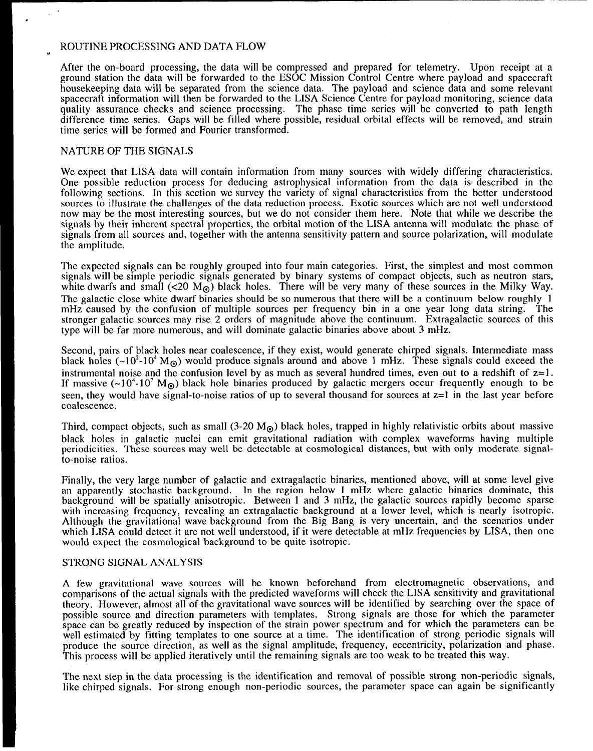## ROUTINE PROCESSING AND DATA FLOW

After the on-board processing, the data will be compressed and prepared for telemetry. Upon receipt at a ground station the data will be forwarded to the ESOC Mission Control Centre where payload and spacecraft housekeeping data will be separated from the science data. The payload and science data and some relevant spacecraft information will then be forwarded to the LISA Science Centre for payload monitoring, science data quality assurance checks and science processing. The phase time series will be converted to path length difference time series. Gaps will be filled where possible, residual orbital effects will be removed, and strain time series will be formed and Fourier transformed.

## NATURE OF THE SIGNALS

.

We expect that LISA data will contain information from many sources with widely differing characteristics. One possible reduction process for deducing astrophysical information from the data is described in the following sections. In this section we survey the variety of signal characteristics from the better understood sources to illustrate the challenges of the data reduction process. Exotic sources which are not well understood now may be the most interesting sources, but we do not consider them here. Note that while we describe the signals by their inherent spectral properties, the orbital motion of the LISA antenna will modulate the phase of signals from all sources and, together with the antenna sensitivity pattern and source polarization, will modulate the amplitude.

The expected signals can be roughly grouped into four main categories. First, the simplest and most common signals will be simple periodic signals generated by binary systems of compact objects, such as neutron stars, white dwarfs and small (<20  $M_{\odot}$ ) black holes. There will be very many of these sources in the Milky Way The galactic close white dwarf binaries should be so numerous that there will be a continuum below roughly 1 mHz caused by the confusion of multiple sources per frequency bin in a one year long data string. The stronger galactic sources may rise 2 orders of magnitude above the continuum. Extragalactic sources of this type will be far more numerous, and will dominate galactic binaries above about 3 mHz.

Second, pairs of black holes near coalescence, if they exist, would generate chirped signals. Intermediate mass black holes (~10<sup>2</sup>-10<sup>4</sup> M<sub>\o</sub>) would produce signals around and above 1 mHz. These signals could exceed the instrumental noise and the confusion level by as much as several hundred times, even out to a redshift of  $z=1$ . If massive (~10<sup>4</sup>-10<sup>7</sup> M<sub>O</sub>) black hole binaries produced by galactic mergers occur frequently enough to be seen, they would have signal-to-noise ratios of up to several thousand for sources at  $z=1$  in the last year before coalescence.

Third, compact objects, such as small (3-20  $M_{\odot}$ ) black holes, trapped in highly relativistic orbits about massive black holes in galactic nuclei can emit gravitational radiation with complex waveforms having multiple periodicities. These sources may well be detectable at cosmological distances, but with only moderate signalto-noise ratios.

Finally, the very large number of galactic and extragalactic binaries, mentioned above, will at some level give an apparently stochastic background. In the region below 1 mHz where galactic binaries dominate, this background will be spatially anisotropic. Between 1 and 3 mHz, the galactic sources rapidly become sparse with increasing frequency, revealing an extragalactic background at a lower level, which is nearly isotropic. Although the gravitational wave background from the Big Bang is very uncertain, and the scenarios under which LISA could detect it are not well understood, if it were detectable at mHz frequencies by LISA, then one would expect the cosmological background to be quite isotropic.

## STRONG SIGNAL ANALYSIS

A few gravitational wave sources will be known beforehand from electromagnetic observations, and comparisons of the actual signals with the predicted waveforms will check the LISA sensitivity and gravitational theory. However, almost all of the gravitational wave sources will be identified by searching over the space of possible source and direction parameters with templates. Strong signals are those for which the parameter space can be greatly reduced by inspection of the strain power spectrum and for which the parameters can be well estimated by fitting templates to one source at a time. The identification of strong periodic signals will produce the source direction, as well as the signal amplitude, frequency, eccentricity, polarization and phase. This process will be applied iteratively until the remaining signals are too weak to be treated this way.

The next step in the data processing is the identification and removal of possible strong non-periodic signals, like chirped signals. For strong enough non-periodic sources, the parameter space can again be significantly